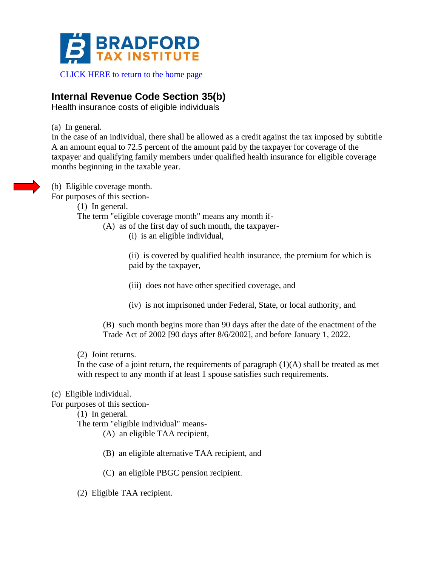

#### [CLICK HERE to return to the home page](https://www.bradfordtaxinstitute.com)

# **Internal Revenue Code Section 35(b)**

Health insurance costs of eligible individuals

(a) In general.

In the case of an individual, there shall be allowed as a credit against the tax imposed by subtitle A an amount equal to 72.5 percent of the amount paid by the taxpayer for coverage of the taxpayer and qualifying family members under qualified health insurance for eligible coverage months beginning in the taxable year.

(b) Eligible coverage month.

For purposes of this section-

(1) In general.

The term "eligible coverage month" means any month if-

(A) as of the first day of such month, the taxpayer-

(i) is an eligible individual,

(ii) is covered by qualified health insurance, the premium for which is paid by the taxpayer,

(iii) does not have other specified coverage, and

(iv) is not imprisoned under Federal, State, or local authority, and

(B) such month begins more than 90 days after the date of the enactment of the Trade Act of 2002 [90 days after 8/6/2002], and before January 1, 2022.

(2) Joint returns.

In the case of a joint return, the requirements of paragraph  $(1)(A)$  shall be treated as met with respect to any month if at least 1 spouse satisfies such requirements.

(c) Eligible individual.

For purposes of this section-

(1) In general.

The term "eligible individual" means-

(A) an eligible TAA recipient,

(B) an eligible alternative TAA recipient, and

(C) an eligible PBGC pension recipient.

(2) Eligible TAA recipient.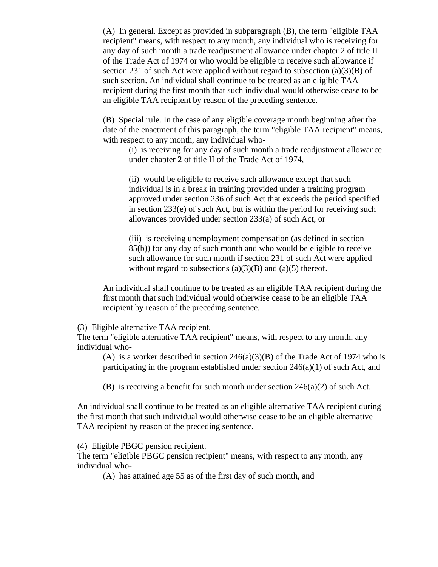(A) In general. Except as provided in subparagraph (B), the term "eligible TAA recipient" means, with respect to any month, any individual who is receiving for any day of such month a trade readjustment allowance under chapter 2 of title II of the Trade Act of 1974 or who would be eligible to receive such allowance if section 231 of such Act were applied without regard to subsection  $(a)(3)(B)$  of such section. An individual shall continue to be treated as an eligible TAA recipient during the first month that such individual would otherwise cease to be an eligible TAA recipient by reason of the preceding sentence.

(B) Special rule. In the case of any eligible coverage month beginning after the date of the enactment of this paragraph, the term "eligible TAA recipient" means, with respect to any month, any individual who-

(i) is receiving for any day of such month a trade readjustment allowance under chapter 2 of title II of the Trade Act of 1974,

(ii) would be eligible to receive such allowance except that such individual is in a break in training provided under a training program approved under section 236 of such Act that exceeds the period specified in section 233(e) of such Act, but is within the period for receiving such allowances provided under section 233(a) of such Act, or

(iii) is receiving unemployment compensation (as defined in section 85(b)) for any day of such month and who would be eligible to receive such allowance for such month if section 231 of such Act were applied without regard to subsections  $(a)(3)(B)$  and  $(a)(5)$  thereof.

An individual shall continue to be treated as an eligible TAA recipient during the first month that such individual would otherwise cease to be an eligible TAA recipient by reason of the preceding sentence.

(3) Eligible alternative TAA recipient.

The term "eligible alternative TAA recipient" means, with respect to any month, any individual who-

(A) is a worker described in section  $246(a)(3)(B)$  of the Trade Act of 1974 who is participating in the program established under section 246(a)(1) of such Act, and

(B) is receiving a benefit for such month under section  $246(a)(2)$  of such Act.

An individual shall continue to be treated as an eligible alternative TAA recipient during the first month that such individual would otherwise cease to be an eligible alternative TAA recipient by reason of the preceding sentence.

(4) Eligible PBGC pension recipient.

The term "eligible PBGC pension recipient" means, with respect to any month, any individual who-

(A) has attained age 55 as of the first day of such month, and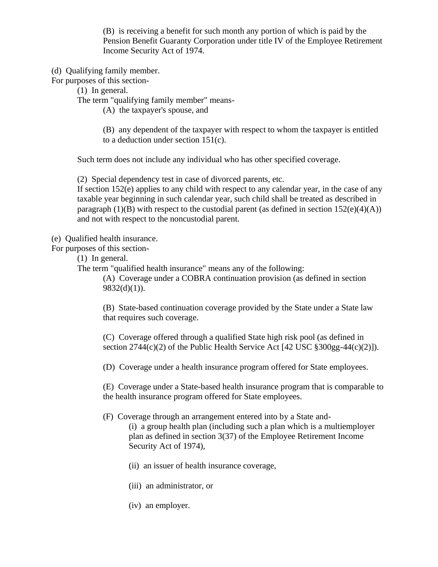(B) is receiving a benefit for such month any portion of which is paid by the Pension Benefit Guaranty Corporation under title IV of the Employee Retirement Income Security Act of 1974.

(d) Qualifying family member.

For purposes of this section-

(1) In general.

The term "qualifying family member" means-

(A) the taxpayer's spouse, and

(B) any dependent of the taxpayer with respect to whom the taxpayer is entitled to a deduction under section 151(c).

Such term does not include any individual who has other specified coverage.

(2) Special dependency test in case of divorced parents, etc.

If section 152(e) applies to any child with respect to any calendar year, in the case of any taxable year beginning in such calendar year, such child shall be treated as described in paragraph  $(1)(B)$  with respect to the custodial parent (as defined in section  $152(e)(4)(A)$ ) and not with respect to the noncustodial parent.

(e) Qualified health insurance.

For purposes of this section-

(1) In general.

The term "qualified health insurance" means any of the following:

(A) Coverage under a COBRA continuation provision (as defined in section  $9832(d)(1)$ ).

(B) State-based continuation coverage provided by the State under a State law that requires such coverage.

(C) Coverage offered through a qualified State high risk pool (as defined in section  $2744(c)(2)$  of the Public Health Service Act [42 USC  $\S 300gg-44(c)(2)$ ]).

(D) Coverage under a health insurance program offered for State employees.

(E) Coverage under a State-based health insurance program that is comparable to the health insurance program offered for State employees.

(F) Coverage through an arrangement entered into by a State and-

(i) a group health plan (including such a plan which is a multiemployer plan as defined in section 3(37) of the Employee Retirement Income Security Act of 1974),

(ii) an issuer of health insurance coverage,

(iii) an administrator, or

(iv) an employer.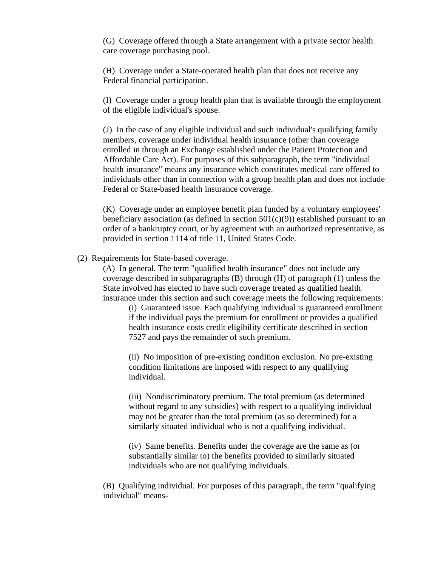(G) Coverage offered through a State arrangement with a private sector health care coverage purchasing pool.

(H) Coverage under a State-operated health plan that does not receive any Federal financial participation.

(I) Coverage under a group health plan that is available through the employment of the eligible individual's spouse.

(J) In the case of any eligible individual and such individual's qualifying family members, coverage under individual health insurance (other than coverage enrolled in through an Exchange established under the Patient Protection and Affordable Care Act). For purposes of this subparagraph, the term "individual health insurance" means any insurance which constitutes medical care offered to individuals other than in connection with a group health plan and does not include Federal or State-based health insurance coverage.

(K) Coverage under an employee benefit plan funded by a voluntary employees' beneficiary association (as defined in section  $501(c)(9)$ ) established pursuant to an order of a bankruptcy court, or by agreement with an authorized representative, as provided in section 1114 of title 11, United States Code.

#### (2) Requirements for State-based coverage.

(A) In general. The term "qualified health insurance" does not include any coverage described in subparagraphs  $(B)$  through  $(H)$  of paragraph  $(1)$  unless the State involved has elected to have such coverage treated as qualified health insurance under this section and such coverage meets the following requirements:

(i) Guaranteed issue. Each qualifying individual is guaranteed enrollment if the individual pays the premium for enrollment or provides a qualified health insurance costs credit eligibility certificate described in section 7527 and pays the remainder of such premium.

(ii) No imposition of pre-existing condition exclusion. No pre-existing condition limitations are imposed with respect to any qualifying individual.

(iii) Nondiscriminatory premium. The total premium (as determined without regard to any subsidies) with respect to a qualifying individual may not be greater than the total premium (as so determined) for a similarly situated individual who is not a qualifying individual.

(iv) Same benefits. Benefits under the coverage are the same as (or substantially similar to) the benefits provided to similarly situated individuals who are not qualifying individuals.

(B) Qualifying individual. For purposes of this paragraph, the term "qualifying individual" means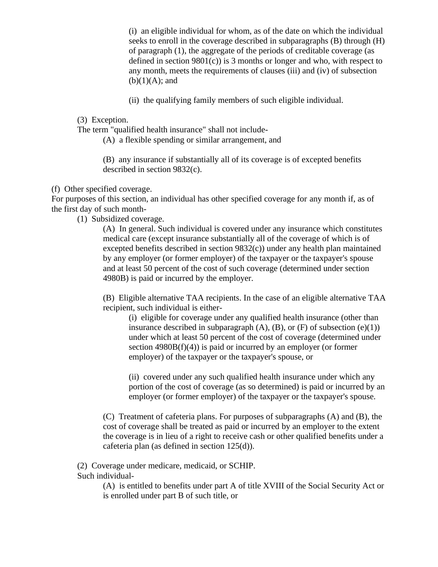(i) an eligible individual for whom, as of the date on which the individual seeks to enroll in the coverage described in subparagraphs (B) through (H) of paragraph (1), the aggregate of the periods of creditable coverage (as defined in section  $9801(c)$  is 3 months or longer and who, with respect to any month, meets the requirements of clauses (iii) and (iv) of subsection  $(b)(1)(A);$  and

(ii) the qualifying family members of such eligible individual.

(3) Exception.

The term "qualified health insurance" shall not include-

(A) a flexible spending or similar arrangement, and

(B) any insurance if substantially all of its coverage is of excepted benefits described in section 9832(c).

#### (f) Other specified coverage.

For purposes of this section, an individual has other specified coverage for any month if, as of the first day of such month-

(1) Subsidized coverage.

(A) In general. Such individual is covered under any insurance which constitutes medical care (except insurance substantially all of the coverage of which is of excepted benefits described in section 9832(c)) under any health plan maintained by any employer (or former employer) of the taxpayer or the taxpayer's spouse and at least 50 percent of the cost of such coverage (determined under section 4980B) is paid or incurred by the employer.

(B) Eligible alternative TAA recipients. In the case of an eligible alternative TAA recipient, such individual is either-

(i) eligible for coverage under any qualified health insurance (other than insurance described in subparagraph  $(A)$ ,  $(B)$ , or  $(F)$  of subsection  $(e)(1)$ under which at least 50 percent of the cost of coverage (determined under section 4980B(f)(4)) is paid or incurred by an employer (or former employer) of the taxpayer or the taxpayer's spouse, or

(ii) covered under any such qualified health insurance under which any portion of the cost of coverage (as so determined) is paid or incurred by an employer (or former employer) of the taxpayer or the taxpayer's spouse.

(C) Treatment of cafeteria plans. For purposes of subparagraphs (A) and (B), the cost of coverage shall be treated as paid or incurred by an employer to the extent the coverage is in lieu of a right to receive cash or other qualified benefits under a cafeteria plan (as defined in section 125(d)).

(2) Coverage under medicare, medicaid, or SCHIP. Such individual-

> (A) is entitled to benefits under part A of title XVIII of the Social Security Act or is enrolled under part B of such title, or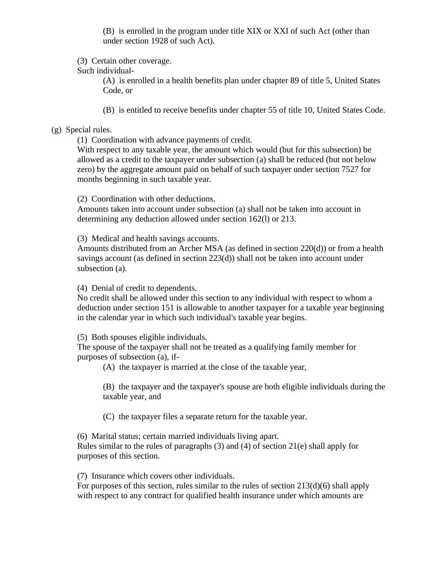(B) is enrolled in the program under title XIX or XXI of such Act (other than under section 1928 of such Act).

(3) Certain other coverage.

Such individual-

(A) is enrolled in a health benefits plan under chapter 89 of title 5, United States Code, or

(B) is entitled to receive benefits under chapter 55 of title 10, United States Code.

### (g) Special rules.

(1) Coordination with advance payments of credit.

With respect to any taxable year, the amount which would (but for this subsection) be allowed as a credit to the taxpayer under subsection (a) shall be reduced (but not below zero) by the aggregate amount paid on behalf of such taxpayer under section 7527 for months beginning in such taxable year.

(2) Coordination with other deductions.

Amounts taken into account under subsection (a) shall not be taken into account in determining any deduction allowed under section 162(l) or 213.

(3) Medical and health savings accounts.

Amounts distributed from an Archer MSA (as defined in section 220(d)) or from a health savings account (as defined in section 223(d)) shall not be taken into account under subsection (a).

(4) Denial of credit to dependents.

No credit shall be allowed under this section to any individual with respect to whom a deduction under section 151 is allowable to another taxpayer for a taxable year beginning in the calendar year in which such individual's taxable year begins.

(5) Both spouses eligible individuals.

The spouse of the taxpayer shall not be treated as a qualifying family member for purposes of subsection (a), if-

(A) the taxpayer is married at the close of the taxable year,

(B) the taxpayer and the taxpayer's spouse are both eligible individuals during the taxable year, and

(C) the taxpayer files a separate return for the taxable year.

(6) Marital status; certain married individuals living apart.

Rules similar to the rules of paragraphs (3) and (4) of section 21(e) shall apply for purposes of this section.

(7) Insurance which covers other individuals.

For purposes of this section, rules similar to the rules of section 213(d)(6) shall apply with respect to any contract for qualified health insurance under which amounts are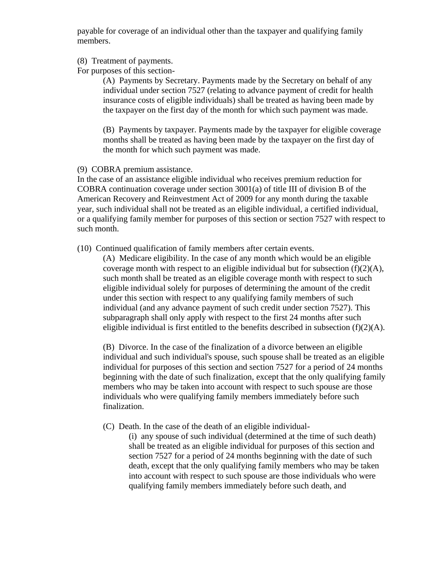payable for coverage of an individual other than the taxpayer and qualifying family members.

- (8) Treatment of payments.
- For purposes of this section-

(A) Payments by Secretary. Payments made by the Secretary on behalf of any individual under section 7527 (relating to advance payment of credit for health insurance costs of eligible individuals) shall be treated as having been made by the taxpayer on the first day of the month for which such payment was made.

(B) Payments by taxpayer. Payments made by the taxpayer for eligible coverage months shall be treated as having been made by the taxpayer on the first day of the month for which such payment was made.

(9) COBRA premium assistance.

In the case of an assistance eligible individual who receives premium reduction for COBRA continuation coverage under section 3001(a) of title III of division B of the American Recovery and Reinvestment Act of 2009 for any month during the taxable year, such individual shall not be treated as an eligible individual, a certified individual, or a qualifying family member for purposes of this section or section 7527 with respect to such month.

(10) Continued qualification of family members after certain events.

(A) Medicare eligibility. In the case of any month which would be an eligible coverage month with respect to an eligible individual but for subsection  $(f)(2)(A)$ , such month shall be treated as an eligible coverage month with respect to such eligible individual solely for purposes of determining the amount of the credit under this section with respect to any qualifying family members of such individual (and any advance payment of such credit under section 7527). This subparagraph shall only apply with respect to the first 24 months after such eligible individual is first entitled to the benefits described in subsection  $(f)(2)(A)$ .

(B) Divorce. In the case of the finalization of a divorce between an eligible individual and such individual's spouse, such spouse shall be treated as an eligible individual for purposes of this section and section 7527 for a period of 24 months beginning with the date of such finalization, except that the only qualifying family members who may be taken into account with respect to such spouse are those individuals who were qualifying family members immediately before such finalization.

(C) Death. In the case of the death of an eligible individual-

(i) any spouse of such individual (determined at the time of such death) shall be treated as an eligible individual for purposes of this section and section 7527 for a period of 24 months beginning with the date of such death, except that the only qualifying family members who may be taken into account with respect to such spouse are those individuals who were qualifying family members immediately before such death, and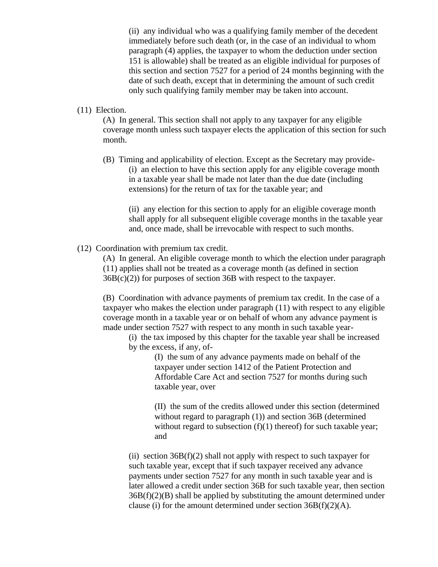(ii) any individual who was a qualifying family member of the decedent immediately before such death (or, in the case of an individual to whom paragraph (4) applies, the taxpayer to whom the deduction under section 151 is allowable) shall be treated as an eligible individual for purposes of this section and section 7527 for a period of 24 months beginning with the date of such death, except that in determining the amount of such credit only such qualifying family member may be taken into account.

### (11) Election.

(A) In general. This section shall not apply to any taxpayer for any eligible coverage month unless such taxpayer elects the application of this section for such month.

(B) Timing and applicability of election. Except as the Secretary may provide- (i) an election to have this section apply for any eligible coverage month in a taxable year shall be made not later than the due date (including extensions) for the return of tax for the taxable year; and

(ii) any election for this section to apply for an eligible coverage month shall apply for all subsequent eligible coverage months in the taxable year and, once made, shall be irrevocable with respect to such months.

(12) Coordination with premium tax credit.

(A) In general. An eligible coverage month to which the election under paragraph (11) applies shall not be treated as a coverage month (as defined in section 36B(c)(2)) for purposes of section 36B with respect to the taxpayer.

(B) Coordination with advance payments of premium tax credit. In the case of a taxpayer who makes the election under paragraph (11) with respect to any eligible coverage month in a taxable year or on behalf of whom any advance payment is made under section 7527 with respect to any month in such taxable year-

(i) the tax imposed by this chapter for the taxable year shall be increased by the excess, if any, of-

> (I) the sum of any advance payments made on behalf of the taxpayer under section 1412 of the Patient Protection and Affordable Care Act and section 7527 for months during such taxable year, over

(II) the sum of the credits allowed under this section (determined without regard to paragraph (1)) and section 36B (determined without regard to subsection  $(f)(1)$  thereof) for such taxable year; and

(ii) section  $36B(f)(2)$  shall not apply with respect to such taxpayer for such taxable year, except that if such taxpayer received any advance payments under section 7527 for any month in such taxable year and is later allowed a credit under section 36B for such taxable year, then section  $36B(f)(2)(B)$  shall be applied by substituting the amount determined under clause (i) for the amount determined under section  $36B(f)(2)(A)$ .